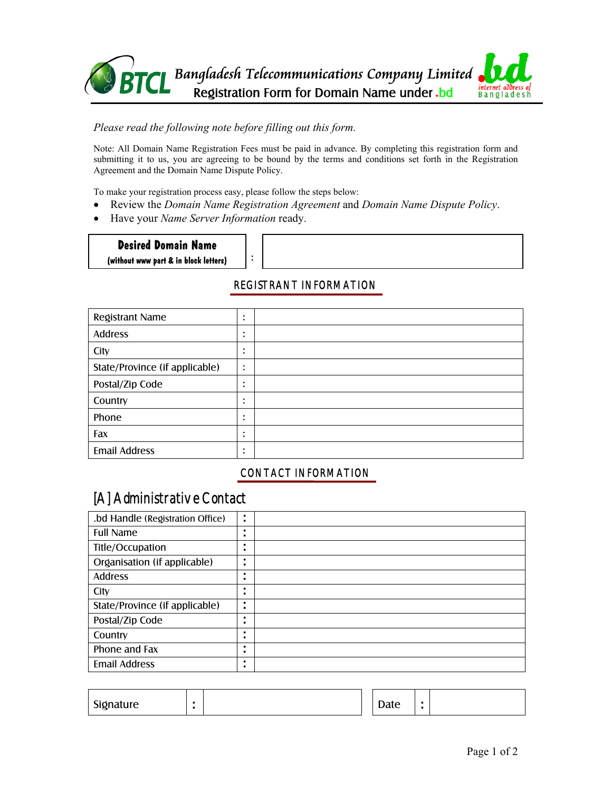

#### *Please read the following note before filling out this form.*

Note: All Domain Name Registration Fees must be paid in advance. By completing this registration form and submitting it to us, you are agreeing to be bound by the terms and conditions set forth in the Registration Agreement and the Domain Name Dispute Policy.

To make your registration process easy, please follow the steps below:

:

- Review the *Domain Name Registration Agreement* and *Domain Name Dispute Policy*.
- Have your *Name Server Information* ready.

**Desired Domain Name** 

**(without www part & in block letters)** 

## REGISTRANT INFORMATION

| Registrant Name                | ٠<br>$\bullet$         |  |
|--------------------------------|------------------------|--|
| <b>Address</b>                 | $\bullet$<br>$\bullet$ |  |
| City                           | ٠<br>$\bullet$         |  |
| State/Province (if applicable) | $\bullet$<br>٠         |  |
| Postal/Zip Code                | ٠<br>٠                 |  |
| Country                        | ٠<br>$\bullet$         |  |
| Phone                          | ٠<br>$\bullet$         |  |
| Fax                            | ٠<br>٠                 |  |
| <b>Email Address</b>           | ٠<br>٠                 |  |

## CONTACT INFORMATION

# [A] Administrative Contact

| .bd Handle (Registration Office) | ٠<br>$\blacksquare$ |  |
|----------------------------------|---------------------|--|
| <b>Full Name</b>                 | ٠<br>٠              |  |
| Title/Occupation                 | ٠<br>٠              |  |
| Organisation (if applicable)     | ٠<br>٠              |  |
| <b>Address</b>                   | ٠<br>٠              |  |
| City                             | ٠<br>٠              |  |
| State/Province (if applicable)   | ٠                   |  |
| Postal/Zip Code                  | ٠<br>٠              |  |
| Country                          | ٠<br>٠              |  |
| Phone and Fax                    | ٠<br>٠              |  |
| <b>Email Address</b>             | ٠<br>٠              |  |

| Signature |  |  |  | Date |  |  |
|-----------|--|--|--|------|--|--|
|-----------|--|--|--|------|--|--|